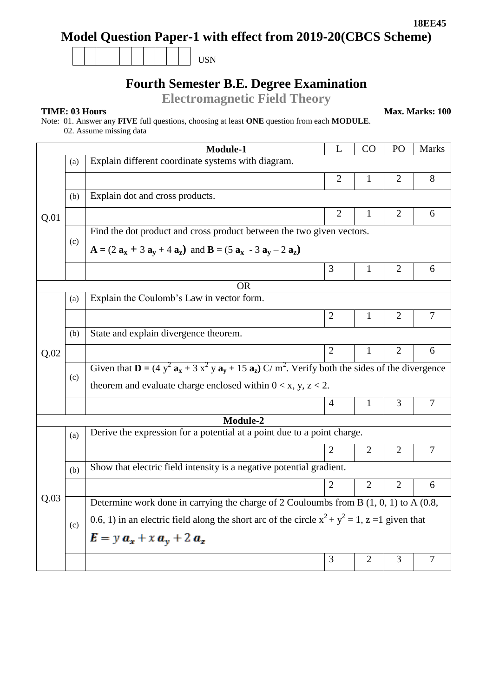# **Model Question Paper-1 with effect from 2019-20(CBCS Scheme)**

| <b>TTONT</b><br>-- |
|--------------------|
|--------------------|

## **Fourth Semester B.E. Degree Examination**

**Electromagnetic Field Theory**

**TIME: 03 Hours Max. Marks: 100** 

Note: 01. Answer any **FIVE** full questions, choosing at least **ONE** question from each **MODULE**.

02. Assume missing data

|                 |                             | Module-1                                                                                                                                | L              | CO             | PO             | <b>Marks</b>   |  |  |  |  |
|-----------------|-----------------------------|-----------------------------------------------------------------------------------------------------------------------------------------|----------------|----------------|----------------|----------------|--|--|--|--|
| Q.01            | (a)                         | Explain different coordinate systems with diagram.                                                                                      |                |                |                |                |  |  |  |  |
|                 |                             |                                                                                                                                         | 2              | 1              | 2              | 8              |  |  |  |  |
|                 | (b)                         | Explain dot and cross products.                                                                                                         |                |                |                |                |  |  |  |  |
|                 |                             |                                                                                                                                         | $\overline{2}$ | 1              | $\overline{2}$ | 6              |  |  |  |  |
|                 |                             | Find the dot product and cross product between the two given vectors.                                                                   |                |                |                |                |  |  |  |  |
|                 | (c)                         | $A = (2 a_x + 3 a_y + 4 a_z)$ and $B = (5 a_x - 3 a_y - 2 a_z)$                                                                         |                |                |                |                |  |  |  |  |
|                 |                             |                                                                                                                                         | 3              | $\mathbf{1}$   | $\overline{2}$ | 6              |  |  |  |  |
| <b>OR</b>       |                             |                                                                                                                                         |                |                |                |                |  |  |  |  |
|                 | (a)                         | Explain the Coulomb's Law in vector form.                                                                                               |                |                |                |                |  |  |  |  |
|                 |                             |                                                                                                                                         | $\overline{2}$ | 1              | $\overline{2}$ | $\overline{7}$ |  |  |  |  |
|                 | (b)                         | State and explain divergence theorem.                                                                                                   |                |                |                |                |  |  |  |  |
| Q.02            |                             |                                                                                                                                         | $\overline{2}$ | 1              | $\overline{2}$ | 6              |  |  |  |  |
|                 |                             | Given that $\mathbf{D} = (4 y^2 \mathbf{a_x} + 3 x^2 y \mathbf{a_y} + 15 \mathbf{a_z}) C/m^2$ . Verify both the sides of the divergence |                |                |                |                |  |  |  |  |
|                 | (c)                         | theorem and evaluate charge enclosed within $0 < x$ , y, z < 2.                                                                         |                |                |                |                |  |  |  |  |
|                 |                             |                                                                                                                                         | $\overline{4}$ | $\mathbf{1}$   | 3              | $\overline{7}$ |  |  |  |  |
| <b>Module-2</b> |                             |                                                                                                                                         |                |                |                |                |  |  |  |  |
| Q.03            | (a)                         | Derive the expression for a potential at a point due to a point charge.                                                                 |                |                |                |                |  |  |  |  |
|                 |                             |                                                                                                                                         | 2              | $\overline{2}$ | $\overline{2}$ | $\overline{7}$ |  |  |  |  |
|                 | (b)                         | Show that electric field intensity is a negative potential gradient.                                                                    |                |                |                |                |  |  |  |  |
|                 |                             |                                                                                                                                         | $\overline{2}$ | $\overline{2}$ | $\overline{2}$ | 6              |  |  |  |  |
|                 |                             | Determine work done in carrying the charge of 2 Couloumbs from B $(1, 0, 1)$ to A $(0.8, 0.1)$                                          |                |                |                |                |  |  |  |  |
|                 | (c)                         | 0.6, 1) in an electric field along the short arc of the circle $x^2 + y^2 = 1$ , $z = 1$ given that                                     |                |                |                |                |  |  |  |  |
|                 | $E = y a_x + x a_y + 2 a_z$ |                                                                                                                                         |                |                |                |                |  |  |  |  |
|                 |                             |                                                                                                                                         | 3              | 2              | 3              | $\overline{7}$ |  |  |  |  |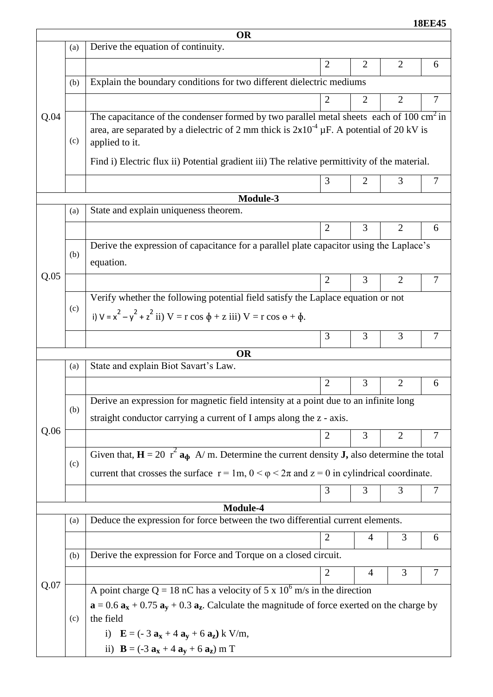**18EE45**

| <b>OR</b> |           |                                                                                                                                     |                |                |                |                |  |  |  |
|-----------|-----------|-------------------------------------------------------------------------------------------------------------------------------------|----------------|----------------|----------------|----------------|--|--|--|
|           | (a)       | Derive the equation of continuity.                                                                                                  |                |                |                |                |  |  |  |
|           |           |                                                                                                                                     | $\overline{2}$ | $\overline{2}$ | 2              | 6              |  |  |  |
|           | (b)       | Explain the boundary conditions for two different dielectric mediums                                                                |                |                |                |                |  |  |  |
|           |           |                                                                                                                                     | 2              | 2              | $\overline{2}$ | 7              |  |  |  |
| Q.04      |           | The capacitance of the condenser formed by two parallel metal sheets each of $100 \text{ cm}^2$ in                                  |                |                |                |                |  |  |  |
|           | (c)       | area, are separated by a dielectric of 2 mm thick is $2x10^{-4} \mu F$ . A potential of 20 kV is                                    |                |                |                |                |  |  |  |
|           |           | applied to it.                                                                                                                      |                |                |                |                |  |  |  |
|           |           | Find i) Electric flux ii) Potential gradient iii) The relative permittivity of the material.                                        |                |                |                |                |  |  |  |
|           |           |                                                                                                                                     | 3              | $\overline{2}$ | 3              | $\overline{7}$ |  |  |  |
| Module-3  |           |                                                                                                                                     |                |                |                |                |  |  |  |
|           | (a)       | State and explain uniqueness theorem.                                                                                               |                |                |                |                |  |  |  |
|           |           |                                                                                                                                     | $\overline{2}$ | 3              | $\overline{2}$ | 6              |  |  |  |
|           | (b)       | Derive the expression of capacitance for a parallel plate capacitor using the Laplace's                                             |                |                |                |                |  |  |  |
|           |           | equation.                                                                                                                           |                |                |                |                |  |  |  |
| Q.05      |           |                                                                                                                                     | $\overline{2}$ | 3              | $\overline{2}$ | $\tau$         |  |  |  |
|           |           | Verify whether the following potential field satisfy the Laplace equation or not                                                    |                |                |                |                |  |  |  |
|           | (c)       | i) $V = x^2 - y^2 + z^2$ ii) $V = r \cos \phi + z$ iii) $V = r \cos \theta + \phi$ .                                                |                |                |                |                |  |  |  |
|           |           |                                                                                                                                     | 3              | 3              | 3              | $\tau$         |  |  |  |
|           | <b>OR</b> |                                                                                                                                     |                |                |                |                |  |  |  |
|           | (a)       | State and explain Biot Savart's Law.                                                                                                |                |                |                |                |  |  |  |
|           |           |                                                                                                                                     | $\overline{2}$ | 3              | $\overline{2}$ | 6              |  |  |  |
|           | (b)       | Derive an expression for magnetic field intensity at a point due to an infinite long                                                |                |                |                |                |  |  |  |
|           |           | straight conductor carrying a current of I amps along the z - axis.                                                                 |                |                |                |                |  |  |  |
| Q.06      |           |                                                                                                                                     | $\overline{2}$ | 3              | $\overline{2}$ | 7              |  |  |  |
|           |           | Given that, $\mathbf{H} = 20 \text{ } r^2 \mathbf{a}_{\Phi}$ A/m. Determine the current density <b>J</b> , also determine the total |                |                |                |                |  |  |  |
|           | (c)       | current that crosses the surface $r = 1m$ , $0 < \varphi < 2\pi$ and $z = 0$ in cylindrical coordinate.                             |                |                |                |                |  |  |  |
|           |           |                                                                                                                                     | 3              | 3              | 3              | 7              |  |  |  |
| Module-4  |           |                                                                                                                                     |                |                |                |                |  |  |  |
|           | (a)       | Deduce the expression for force between the two differential current elements.                                                      |                |                |                |                |  |  |  |
|           |           |                                                                                                                                     | $\overline{2}$ | 4              | 3              | 6              |  |  |  |
|           | (b)       | Derive the expression for Force and Torque on a closed circuit.                                                                     |                |                |                |                |  |  |  |
|           |           |                                                                                                                                     | $\overline{2}$ | 4              | 3              | $\tau$         |  |  |  |
| Q.07      |           | A point charge Q = 18 nC has a velocity of 5 x $10^6$ m/s in the direction                                                          |                |                |                |                |  |  |  |
|           |           | $\mathbf{a} = 0.6 \mathbf{a_x} + 0.75 \mathbf{a_y} + 0.3 \mathbf{a_z}$ . Calculate the magnitude of force exerted on the charge by  |                |                |                |                |  |  |  |
|           | (c)       | the field                                                                                                                           |                |                |                |                |  |  |  |
|           |           | i) $E = (-3 a_x + 4 a_y + 6 a_z) k V/m,$                                                                                            |                |                |                |                |  |  |  |
|           |           | ii) $B = (-3 a_x + 4 a_y + 6 a_z) m T$                                                                                              |                |                |                |                |  |  |  |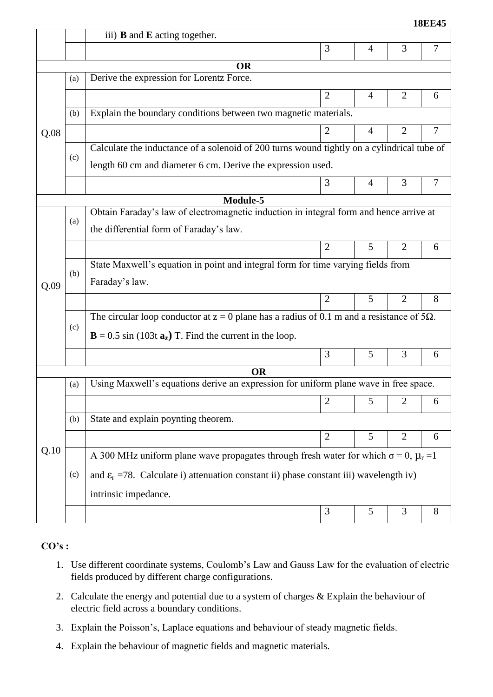|     |                                                                                                     |                |   |                | <b>18EE45</b>                                                                          |  |  |
|-----|-----------------------------------------------------------------------------------------------------|----------------|---|----------------|----------------------------------------------------------------------------------------|--|--|
|     | iii) $\bf{B}$ and $\bf{E}$ acting together.                                                         |                |   |                |                                                                                        |  |  |
|     |                                                                                                     | 3              | 4 | 3              | $\overline{7}$                                                                         |  |  |
|     | <b>OR</b>                                                                                           |                |   |                |                                                                                        |  |  |
| (a) | Derive the expression for Lorentz Force.                                                            |                |   |                |                                                                                        |  |  |
|     |                                                                                                     | $\overline{2}$ | 4 | $\overline{2}$ | 6                                                                                      |  |  |
| (b) | Explain the boundary conditions between two magnetic materials.                                     |                |   |                |                                                                                        |  |  |
|     |                                                                                                     | $\overline{2}$ | 4 | $\overline{2}$ | $\overline{7}$                                                                         |  |  |
|     | Calculate the inductance of a solenoid of 200 turns wound tightly on a cylindrical tube of          |                |   |                |                                                                                        |  |  |
|     | length 60 cm and diameter 6 cm. Derive the expression used.                                         |                |   |                |                                                                                        |  |  |
|     |                                                                                                     | 3              | 4 | 3              | 7                                                                                      |  |  |
|     | Module-5                                                                                            |                |   |                |                                                                                        |  |  |
|     |                                                                                                     |                |   |                |                                                                                        |  |  |
|     | the differential form of Faraday's law.                                                             |                |   |                |                                                                                        |  |  |
|     |                                                                                                     | $\overline{2}$ | 5 | $\overline{2}$ | 6                                                                                      |  |  |
|     | State Maxwell's equation in point and integral form for time varying fields from                    |                |   |                |                                                                                        |  |  |
|     | Faraday's law.                                                                                      |                |   |                |                                                                                        |  |  |
|     |                                                                                                     | 2              | 5 | $\overline{2}$ | 8                                                                                      |  |  |
|     | The circular loop conductor at $z = 0$ plane has a radius of 0.1 m and a resistance of 5 $\Omega$ . |                |   |                |                                                                                        |  |  |
|     | $\mathbf{B} = 0.5 \sin(103t \, \mathbf{a_z})$ T. Find the current in the loop.                      |                |   |                |                                                                                        |  |  |
|     |                                                                                                     | 3              | 5 | 3              | 6                                                                                      |  |  |
|     | <b>OR</b>                                                                                           |                |   |                |                                                                                        |  |  |
| (a) | Using Maxwell's equations derive an expression for uniform plane wave in free space.                |                |   |                |                                                                                        |  |  |
|     |                                                                                                     | $\overline{2}$ | 5 | $\overline{2}$ | 6                                                                                      |  |  |
| (b) | State and explain poynting theorem.                                                                 |                |   |                |                                                                                        |  |  |
|     |                                                                                                     | $\overline{2}$ | 5 | $\overline{2}$ | 6                                                                                      |  |  |
|     | A 300 MHz uniform plane wave propagates through fresh water for which $\sigma = 0$ , $\mu_r = 1$    |                |   |                |                                                                                        |  |  |
| (c) | and $\varepsilon_r$ =78. Calculate i) attenuation constant ii) phase constant iii) wavelength iv)   |                |   |                |                                                                                        |  |  |
|     | intrinsic impedance.                                                                                |                |   |                |                                                                                        |  |  |
|     |                                                                                                     | 3              | 5 | 3              | 8                                                                                      |  |  |
|     | (c)<br>(a)<br>(b)<br>(c)                                                                            |                |   |                | Obtain Faraday's law of electromagnetic induction in integral form and hence arrive at |  |  |

### **CO's :**

- 1. Use different coordinate systems, Coulomb's Law and Gauss Law for the evaluation of electric fields produced by different charge configurations.
- 2. Calculate the energy and potential due to a system of charges & Explain the behaviour of electric field across a boundary conditions.
- 3. Explain the Poisson's, Laplace equations and behaviour of steady magnetic fields.
- 4. Explain the behaviour of magnetic fields and magnetic materials.